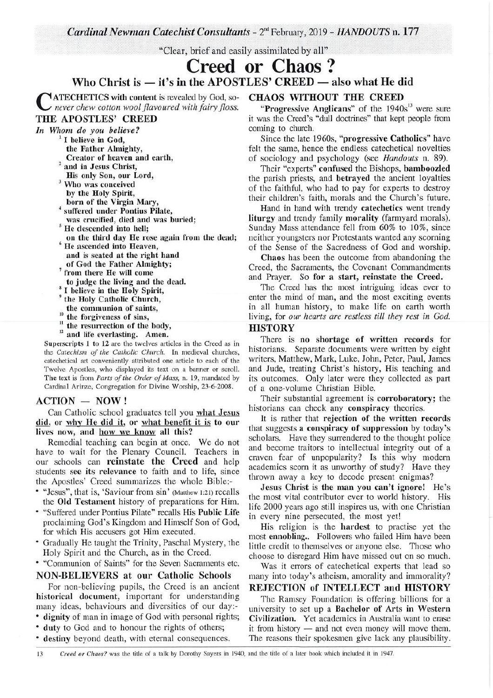*Cardinal Newman Catechist Consultants - 2<sup>nd</sup> February, 2019 - <i>HANDOUTS* n. 177

"Clear, brief and easily assimilated by all"

**Creed or Chaos** ? Who Christ is  $-$  it's in the APOSTLES' CREED  $-$  also what He did

 $\mathbf{C}$ ATECHETICS with content is revealed by God, so*never chew cotton wool flavoured with fairy floss.*  THE APOSTLES' CREED

*In Whom do you believe?* 

- $<sup>1</sup>$  I believe in God,</sup>
- the Father Almighty, Creator of heaven and earth,
- <sup>2</sup> and in Jesus Christ, His only Son, our Lord,
- <sup>3</sup> Who was conceived by the Holy Spirit,
- born of the Virgin Mary,
- <sup>4</sup> suffered under Pontius Pilate,
- was crucified, died and was buried; <sup>5</sup> He descended into hell;
- on the third day He rose again from the dead;  $6$  He ascended into Heaven,
- and is seated at the right hand
- of God the Father Almighty;
- <sup>7</sup> from there He will come to judge the living and the dead.
- <sup>8</sup> I believe in the Holy Spirit,
- <sup>9</sup> the Holy Catholic Church,
- the communion of saints,
- the forgiveness of sins,
- <sup>11</sup> the resurrection of the body,
- <sup>12</sup> and life everlasting. Amen.

Superscripts 1 to 12 are the twelves articles in the Creed as in the *Catechism of the Catholic Church.* In medieval churches, catechetical art conveniently attributed one article to each of the Twelve Apostles, who displayed its text on a banner or scroll. The text is from *Parts of the Order of Mass,* n. 19, mandated by Cardinal Arinze, Congregation for Divine Worship, 23-6-2008.

## $ACTION - NOW!$

Can Catholic school graduates tell you what Jesus did, or why He did it, or what benefit it is to our lives now, and how we know all this?

Remedial teaching can begin at once. We do not have to wait for the Plenary Council. Teachers in our schools can **reinstate the Creed** and help students see its relevance to faith and to life, since the Apostles' Creed summarizes the whole Bibler-

- "Jesus", that is, 'Saviour from sin' (Matthew 1:21) recalls the Old Testament history of preparations for Him.
- "Suffered under Pontius Pilate" recalls His Public Life proclaiming God's Kingdom and Himself Son of God, for which His accusers got Him executed.
- Gradually He taught the Trinity, Paschal Mystery, the Holy Spirit and the Church, as in the Creed.
- "Communion of Saints" for the Seven Sacraments etc.

## NON-BELIEVERS at our Catholic Schools

For non-believing pupils, the Creed is an ancient historical document, important for understanding many ideas, behaviours and diversities of our day:-

- dignity of man in image of God with personal rights;
- duty to God and to honour the rights of others;
- destiny beyond death, with eternal consequences.

# CHAOS WITHOUT THE CREED

"Progressive Anglicans" of the 1940s<sup>13</sup> were sure it was the Creed's "dull doctrines" that kept people from coming to church.

Since the late 1960s, "progressive Catholics" have felt the same, hence the endless catechetical novelties of sociology and psychology (see *Handouts* n. 89).

Their "experts" confused the Bishops, bamboozled the parish priests, and betrayed the ancient loyalties of the faithful, who had to pay for experts to destroy their children's faith, morals and the Church's future.

Hand in hand with trendy catechetics went trendy liturgy and trendy family morality (farmyard morals). Sunday Mass attendance fell from 60% to 10%, since neither youngsters nor Protestants wanted any scorning of the Sense of the Sacredness of God and worship.

Chaos has been the outcome from abandoning the Creed, the Sacraments, the Covenant Commandments and Prayer. So for a start, reinstate the Creed.

The Creed has the most intriguing ideas ever to enter the mind of man, and the most exciting events in all human history, to make life on earth worth living, for *our hearts are restless till they rest in God.* 

### **HISTORY**

There is no shortage of written records for historians. Separate documents were written by eight writers, Matthew, Mark, Luke, John, Peter, Paul, James and Jude, treating Christ's history, His teaching and its outcomes. Only later were they collected as part of a one-volume Christian Bible.

Their substantial agreement is corroboratory; the historians can check any conspiracy theories.

It is rather that rejection of the written records that suggests a conspiracy of suppression by today's scholars. Have they surrendered to the thought police and become traitors to intellectual integrity out of a craven fear of unpopularity? Is this why modern academics scorn it as unworthy of study? Have they thrown away a key to decode present enigmas?

Jesus Christ is the man you can't ignore! He's the most vital contributor ever to world history. His life 2000 years ago still inspires us, with one Christian in every nine persecuted, the most yet!

His religion is the hardest to practise yet the most ennobling.. Followers who failed Him have been little credit to themselves or anyone else. Those who choose to disregard Him have missed out on so much.

Was it errors of catechetical experts that lead so many into today's atheism, amorality and immorality?

## REJECTION of INTELLECT and HISTORY

The Ramsey Foundation is offering billions for a university to set up a Bachelor of Arts in Western Civilization. Yet academics in Australia want to erase it from history  $-$  and not even money will move them. The reasons their spokesmen give lack any plausibility.

13 *Creed or Chaos?* was the title of a talk by Dorothy Sayers in 1940, and the title of a later book which included it in 1947.